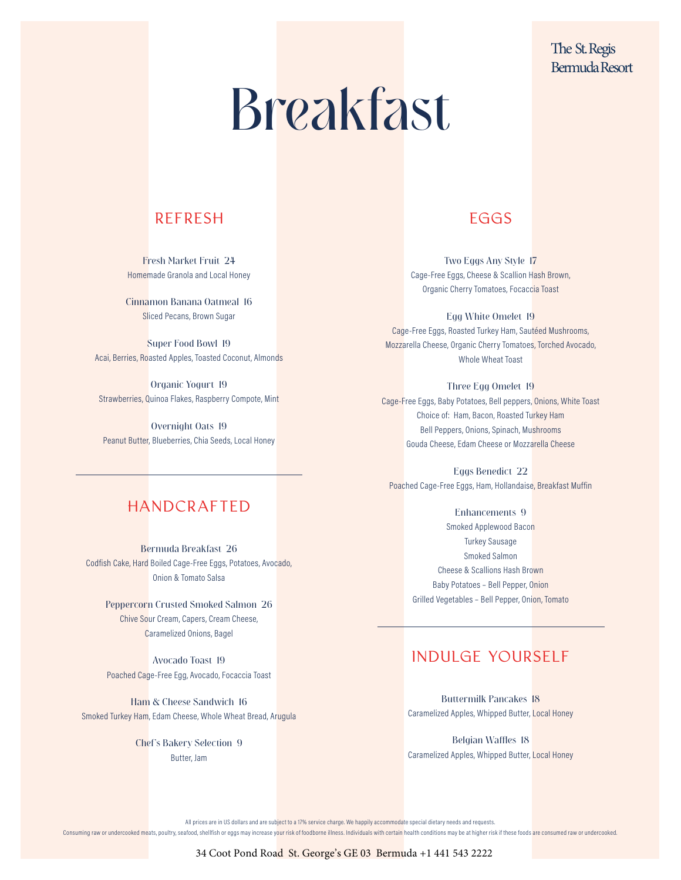## The St. Regis Bermuda Resort

# Breakfast

## REFRESH EGGS

Cinnamon Banana Oatmeal 16 Sliced Pecans, Brown Sugar

Super Food Bowl 19 Acai, Berries, Roasted Apples, Toasted Coconut, Almonds

Organic Yogurt 19 Strawberries, Quinoa Flakes, Raspberry Compote, Mint

Overnight Oats 19 Peanut Butter, Blueberries, Chia Seeds, Local Honey

Fresh Market Fruit 24 Two Eggs Any Style 17 Homemade Granola and Local Honey Cage-Free Eggs, Cheese & Scallion Hash Brown, Organic Cherry Tomatoes, Focaccia Toast

> Egg White Omelet 19 Cage-Free Eggs, Roasted Turkey Ham, Sautéed Mushrooms, Mozzarella Cheese, Organic Cherry Tomatoes, Torched Avocado, Whole Wheat Toast

Three Egg Omelet 19 Cage-Free Eggs, Baby Potatoes, Bell peppers, Onions, White Toast Choice of: Ham, Bacon, Roasted Turkey Ham Bell Peppers, Onions, Spinach, Mushrooms Gouda Cheese, Edam Cheese or Mozzarella Cheese

Eggs Benedict 22 Poached Cage-Free Eggs, Ham, Hollandaise, Breakfast Muffin

> Enhancements 9 Smoked Applewood Bacon Turkey Sausage Smoked Salmon Cheese & Scallions Hash Brown Baby Potatoes – Bell Pepper, Onion Grilled Vegetables – Bell Pepper, Onion, Tomato

## INDULGE YOURSELF

Buttermilk Pancakes 18 Caramelized Apples, Whipped Butter, Local Honey

Belgian Waffles 18 Caramelized Apples, Whipped Butter, Local Honey

## HANDCRAFTED

Bermuda Breakfast 26 Codfish Cake, Hard Boiled Cage-Free Eggs, Potatoes, Avocado, Onion & Tomato Salsa

Peppercorn Crusted Smoked Salmon 26 Chive Sour Cream, Capers, Cream Cheese, Caramelized Onions, Bagel

Avocado Toast 19 Poached Cage-Free Egg, Avocado, Focaccia Toast

Ham & Cheese Sandwich 16 Smoked Turkey Ham, Edam Cheese, Whole Wheat Bread, Arugula

> Chef's Bakery Selection 9 Butter, Jam

> > All prices are in US dollars and are subject to a 17% service charge. We happily accommodate special dietary needs and requests.

Consuming raw or undercooked meats, poultry, seafood, shellfish or eggs may increase y<mark>our ris</mark>k of foodborne illness. Individuals with certain health conditions may be at higher risk if these foods are consumed raw or und

### 34 Coot Pond Road St. George's GE 03 Bermuda +1 441 543 2222